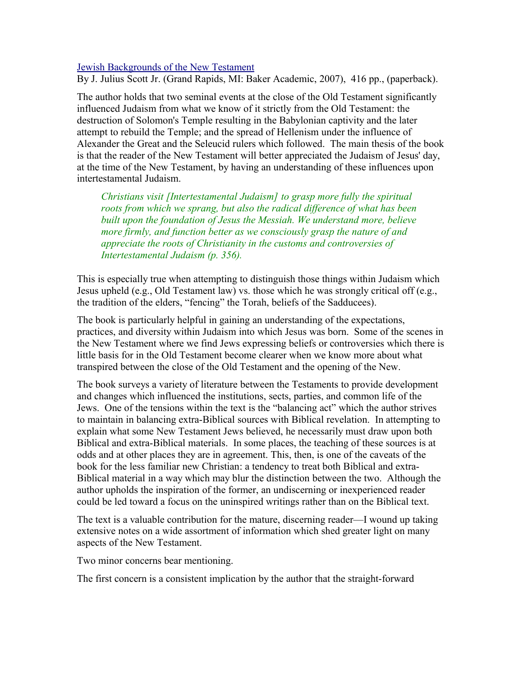[Jewish Backgrounds of the New Testament](http://www.bestbookdeal.com/book/compare/978-0-8010-2240-1)

By J. Julius Scott Jr. (Grand Rapids, MI: Baker Academic, 2007), 416 pp., (paperback).

The author holds that two seminal events at the close of the Old Testament significantly influenced Judaism from what we know of it strictly from the Old Testament: the destruction of Solomon's Temple resulting in the Babylonian captivity and the later attempt to rebuild the Temple; and the spread of Hellenism under the influence of Alexander the Great and the Seleucid rulers which followed. The main thesis of the book is that the reader of the New Testament will better appreciated the Judaism of Jesus' day, at the time of the New Testament, by having an understanding of these influences upon intertestamental Judaism.

*Christians visit [Intertestamental Judaism] to grasp more fully the spiritual roots from which we sprang, but also the radical difference of what has been built upon the foundation of Jesus the Messiah. We understand more, believe more firmly, and function better as we consciously grasp the nature of and appreciate the roots of Christianity in the customs and controversies of Intertestamental Judaism (p. 356).*

This is especially true when attempting to distinguish those things within Judaism which Jesus upheld (e.g., Old Testament law) vs. those which he was strongly critical off (e.g., the tradition of the elders, "fencing" the Torah, beliefs of the Sadducees).

The book is particularly helpful in gaining an understanding of the expectations, practices, and diversity within Judaism into which Jesus was born. Some of the scenes in the New Testament where we find Jews expressing beliefs or controversies which there is little basis for in the Old Testament become clearer when we know more about what transpired between the close of the Old Testament and the opening of the New.

The book surveys a variety of literature between the Testaments to provide development and changes which influenced the institutions, sects, parties, and common life of the Jews. One of the tensions within the text is the "balancing act" which the author strives to maintain in balancing extra-Biblical sources with Biblical revelation. In attempting to explain what some New Testament Jews believed, he necessarily must draw upon both Biblical and extra-Biblical materials. In some places, the teaching of these sources is at odds and at other places they are in agreement. This, then, is one of the caveats of the book for the less familiar new Christian: a tendency to treat both Biblical and extra-Biblical material in a way which may blur the distinction between the two. Although the author upholds the inspiration of the former, an undiscerning or inexperienced reader could be led toward a focus on the uninspired writings rather than on the Biblical text.

The text is a valuable contribution for the mature, discerning reader—I wound up taking extensive notes on a wide assortment of information which shed greater light on many aspects of the New Testament.

Two minor concerns bear mentioning.

The first concern is a consistent implication by the author that the straight-forward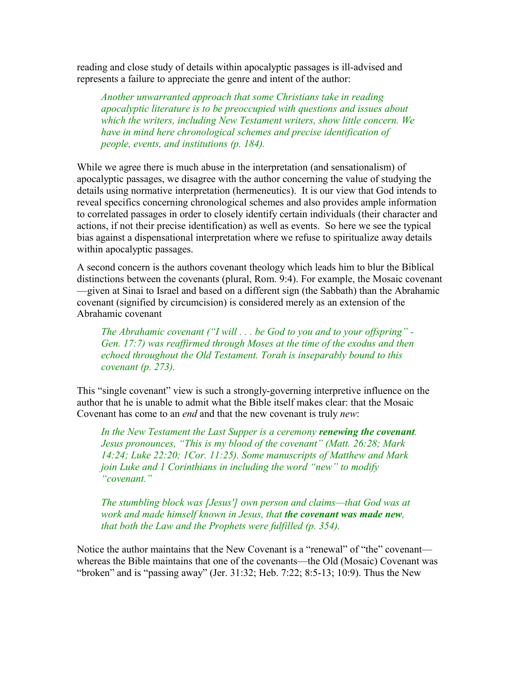reading and close study of details within apocalyptic passages is ill-advised and represents a failure to appreciate the genre and intent of the author:

*Another unwarranted approach that some Christians take in reading apocalyptic literature is to be preoccupied with questions and issues about which the writers, including New Testament writers, show little concern. We have in mind here chronological schemes and precise identification of people, events, and institutions (p. 184).*

While we agree there is much abuse in the interpretation (and sensationalism) of apocalyptic passages, we disagree with the author concerning the value of studying the details using normative interpretation (hermeneutics). It is our view that God intends to reveal specifics concerning chronological schemes and also provides ample information to correlated passages in order to closely identify certain individuals (their character and actions, if not their precise identification) as well as events. So here we see the typical bias against a dispensational interpretation where we refuse to spiritualize away details within apocalyptic passages.

A second concern is the authors covenant theology which leads him to blur the Biblical distinctions between the covenants (plural, Rom. 9:4). For example, the Mosaic covenant —given at Sinai to Israel and based on a different sign (the Sabbath) than the Abrahamic covenant (signified by circumcision) is considered merely as an extension of the Abrahamic covenant

*The Abrahamic covenant ("I will . . . be God to you and to your offspring" - Gen. 17:7) was reaffirmed through Moses at the time of the exodus and then echoed throughout the Old Testament. Torah is inseparably bound to this covenant (p. 273).*

This "single covenant" view is such a strongly-governing interpretive influence on the author that he is unable to admit what the Bible itself makes clear: that the Mosaic Covenant has come to an *end* and that the new covenant is truly *new*:

*In the New Testament the Last Supper is a ceremony renewing the covenant. Jesus pronounces, "This is my blood of the covenant" (Matt. 26:28; Mark 14:24; Luke 22:20; 1Cor. 11:25). Some manuscripts of Matthew and Mark join Luke and 1 Corinthians in including the word "new" to modify "covenant."*

*The stumbling block was [Jesus'] own person and claims—that God was at work and made himself known in Jesus, that the covenant was made new, that both the Law and the Prophets were fulfilled (p. 354).*

Notice the author maintains that the New Covenant is a "renewal" of "the" covenant whereas the Bible maintains that one of the covenants—the Old (Mosaic) Covenant was "broken" and is "passing away" (Jer. 31:32; Heb. 7:22; 8:5-13; 10:9). Thus the New